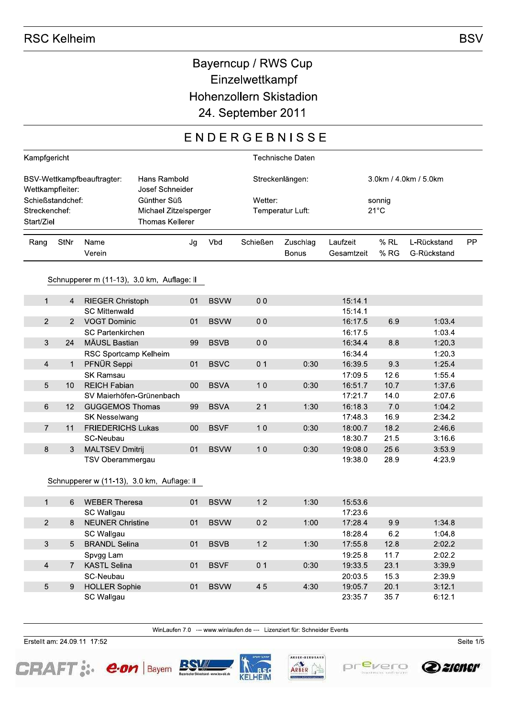## Bayerncup / RWS Cup Einzelwettkampf Hohenzollern Skistadion 24. September 2011

## ENDERGEBNISSE

| Kampfgericht                                                                      |                |                                                                |                        |                 |                  | <b>Technische Daten</b> |                       |      |             |           |
|-----------------------------------------------------------------------------------|----------------|----------------------------------------------------------------|------------------------|-----------------|------------------|-------------------------|-----------------------|------|-------------|-----------|
| Hans Rambold<br>BSV-Wettkampfbeauftragter:<br>Josef Schneider<br>Wettkampfleiter: |                |                                                                |                        | Streckenlängen: |                  |                         | 3.0km / 4.0km / 5.0km |      |             |           |
| Schießstandchef:                                                                  |                |                                                                | Günther Süß            |                 | Wetter:          |                         | sonnig                |      |             |           |
| Streckenchef:                                                                     |                |                                                                | Michael Zitzelsperger  |                 | Temperatur Luft: |                         | $21^{\circ}$ C        |      |             |           |
| Start/Ziel                                                                        |                |                                                                | <b>Thomas Kellerer</b> |                 |                  |                         |                       |      |             |           |
| Rang                                                                              | StNr           | Name                                                           | Jg                     | Vbd             | Schießen         | Zuschlag                | Laufzeit              | % RL | L-Rückstand | <b>PP</b> |
|                                                                                   |                | Verein                                                         |                        |                 |                  | <b>Bonus</b>            | Gesamtzeit            | % RG | G-Rückstand |           |
|                                                                                   |                | Schnupperer m (11-13), 3.0 km, Auflage: II                     |                        |                 |                  |                         |                       |      |             |           |
| $\mathbf{1}$                                                                      | $\overline{4}$ | <b>RIEGER Christoph</b>                                        | 01                     | <b>BSVW</b>     | 0 <sub>0</sub>   |                         | 15:14.1               |      |             |           |
|                                                                                   |                | <b>SC Mittenwald</b>                                           |                        |                 |                  |                         | 15:14.1               |      |             |           |
| $\overline{2}$                                                                    | $\overline{2}$ | <b>VOGT Dominic</b>                                            | 01                     | <b>BSVW</b>     | 0 <sub>0</sub>   |                         | 16:17.5               | 6.9  | 1:03.4      |           |
|                                                                                   |                | <b>SC Partenkirchen</b>                                        |                        |                 |                  |                         | 16:17.5               |      | 1:03.4      |           |
| 3                                                                                 | 24             | MÄUSL Bastian                                                  | 99                     | <b>BSVB</b>     | 0 <sub>0</sub>   |                         | 16:34.4               | 8.8  | 1:20.3      |           |
|                                                                                   |                | RSC Sportcamp Kelheim                                          |                        |                 |                  |                         | 16:34.4               |      | 1:20.3      |           |
| $\overline{4}$                                                                    | $\mathbf{1}$   | PFNÜR Seppi                                                    | 01                     | <b>BSVC</b>     | 0 <sub>1</sub>   | 0:30                    | 16:39.5               | 9.3  | 1:25.4      |           |
|                                                                                   |                | <b>SK Ramsau</b>                                               |                        |                 |                  |                         | 17:09.5               | 12.6 | 1:55.4      |           |
| 5                                                                                 | 10             | <b>REICH Fabian</b>                                            | 00                     | <b>BSVA</b>     | 10               | 0:30                    | 16:51.7               | 10.7 | 1:37.6      |           |
|                                                                                   |                | SV Maierhöfen-Grünenbach                                       |                        |                 |                  |                         | 17:21.7               | 14.0 | 2:07.6      |           |
| 6                                                                                 | 12             | <b>GUGGEMOS Thomas</b>                                         | 99                     | <b>BSVA</b>     | 21               | 1:30                    | 16:18.3               | 7.0  | 1:04.2      |           |
|                                                                                   |                | SK Nesselwang                                                  |                        |                 |                  |                         | 17:48.3               | 16.9 | 2:34.2      |           |
| $\overline{7}$                                                                    | 11             | <b>FRIEDERICHS Lukas</b>                                       | 00                     | <b>BSVF</b>     | 10               | 0:30                    | 18:00.7               | 18.2 | 2:46.6      |           |
|                                                                                   |                | SC-Neubau                                                      |                        |                 |                  |                         | 18:30.7               | 21.5 | 3:16.6      |           |
| 8                                                                                 | 3              | <b>MALTSEV Dmitrij</b>                                         | 01                     | <b>BSVW</b>     | 10               | 0:30                    | 19:08.0               | 25.6 | 3:53.9      |           |
|                                                                                   |                | TSV Oberammergau<br>Schnupperer w (11-13), 3.0 km, Auflage: II |                        |                 |                  |                         | 19:38.0               | 28.9 | 4:23.9      |           |
|                                                                                   |                |                                                                |                        |                 |                  |                         |                       |      |             |           |
| $\mathbf{1}$                                                                      | 6              | <b>WEBER Theresa</b>                                           | 01                     | <b>BSVW</b>     | 12               | 1:30                    | 15:53.6               |      |             |           |
|                                                                                   |                | SC Wallgau                                                     |                        |                 |                  |                         | 17:23.6               |      |             |           |
| $\overline{2}$                                                                    | 8              | <b>NEUNER Christine</b>                                        | 01                     | <b>BSVW</b>     | 0 <sub>2</sub>   | 1:00                    | 17:28.4               | 9.9  | 1:34.8      |           |
|                                                                                   |                | SC Wallgau                                                     |                        |                 |                  |                         | 18:28.4               | 6.2  | 1:04.8      |           |
| 3                                                                                 | 5              | <b>BRANDL Selina</b>                                           | 01                     | <b>BSVB</b>     | 12               | 1:30                    | 17:55.8               | 12.8 | 2:02.2      |           |
|                                                                                   |                | Spvgg Lam                                                      |                        |                 |                  |                         | 19:25.8               | 11.7 | 2:02.2      |           |
| $\overline{4}$                                                                    | $\overline{7}$ | <b>KASTL Selina</b>                                            | 01                     | <b>BSVF</b>     | 0 <sub>1</sub>   | 0:30                    | 19:33.5               | 23.1 | 3:39.9      |           |
|                                                                                   |                | SC-Neubau                                                      |                        |                 |                  |                         | 20:03.5               | 15.3 | 2:39.9      |           |
| 5                                                                                 | 9              | <b>HOLLER Sophie</b>                                           | 01                     | <b>BSVW</b>     | 45               | 4:30                    | 19:05.7               | 20.1 | 3:12.1      |           |
|                                                                                   |                | SC Wallgau                                                     |                        |                 |                  |                         | 23:35.7               | 35.7 | 6:12.1      |           |

WinLaufen 7.0 --- www.winlaufen.de --- Lizenziert für: Schneider Events

Erstellt am: 24.09.11 17:52









Seite  $1/5$ 

**BSV**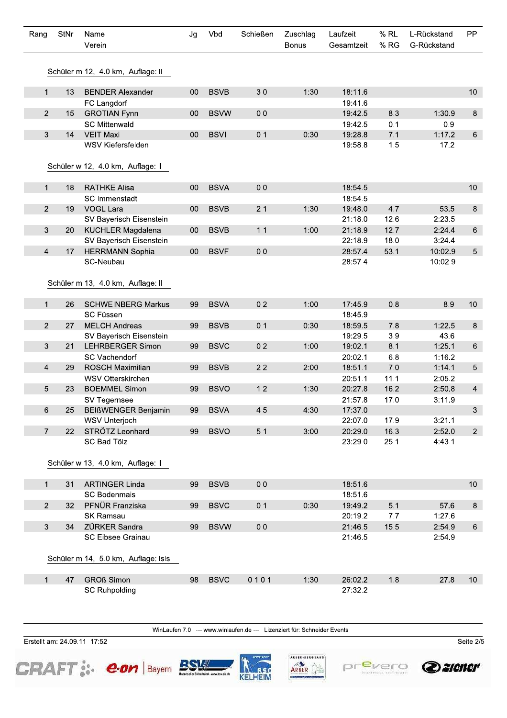| Rang                      | StNr | Name<br>Verein                      | Jg | Vbd         | Schießen       | Zuschlag<br><b>Bonus</b> | Laufzeit<br>Gesamtzeit | $%$ RL<br>% RG | L-Rückstand<br>G-Rückstand | PP              |
|---------------------------|------|-------------------------------------|----|-------------|----------------|--------------------------|------------------------|----------------|----------------------------|-----------------|
|                           |      |                                     |    |             |                |                          |                        |                |                            |                 |
|                           |      | Schüler m 12, 4.0 km, Auflage: II   |    |             |                |                          |                        |                |                            |                 |
| $\mathbf{1}$              | 13   | <b>BENDER Alexander</b>             | 00 | <b>BSVB</b> | 30             | 1:30                     | 18:11.6                |                |                            | 10              |
|                           |      | FC Langdorf                         |    |             |                |                          | 19:41.6                |                |                            |                 |
| 2                         | 15   | <b>GROTIAN Fynn</b>                 | 00 | <b>BSVW</b> | 0 <sub>0</sub> |                          | 19:42.5                | 8.3            | 1:30.9                     | 8               |
|                           |      | <b>SC Mittenwald</b>                |    |             |                |                          | 19:42.5                | 0.1            | 0.9                        |                 |
| $\mathfrak{S}$            | 14   | <b>VEIT Maxi</b>                    | 00 | <b>BSVI</b> | 0 <sub>1</sub> | 0:30                     | 19:28.8                | 7.1            | 1:17.2                     | $\,6\,$         |
|                           |      | WSV Kiefersfelden                   |    |             |                |                          | 19:58.8                | 1.5            | 17.2                       |                 |
|                           |      |                                     |    |             |                |                          |                        |                |                            |                 |
|                           |      | Schüler w 12, 4.0 km, Auflage: II   |    |             |                |                          |                        |                |                            |                 |
| $\mathbf{1}$              | 18   | <b>RATHKE Alisa</b>                 | 00 | <b>BSVA</b> | 0 <sub>0</sub> |                          | 18:54.5                |                |                            | 10              |
|                           |      | SC Immenstadt                       |    |             |                |                          | 18:54.5                |                |                            |                 |
| $\overline{2}$            | 19   | <b>VOGL Lara</b>                    | 00 | <b>BSVB</b> | 21             | 1:30                     | 19:48.0                | 4.7            | 53.5                       | $\bf 8$         |
|                           |      | SV Bayerisch Eisenstein             |    |             |                |                          | 21:18.0                | 12.6           | 2:23.5                     |                 |
| 3                         | 20   | <b>KUCHLER Magdalena</b>            | 00 | <b>BSVB</b> | 11             | 1:00                     | 21:18.9                | 12.7           | 2:24.4                     | $6\phantom{.}$  |
|                           |      | SV Bayerisch Eisenstein             |    |             |                |                          | 22:18.9                | 18.0           | 3:24.4                     |                 |
| $\overline{4}$            | 17   | <b>HERRMANN Sophia</b>              | 00 | <b>BSVF</b> | 0 <sub>0</sub> |                          | 28:57.4                | 53.1           | 10:02.9                    | $5\phantom{.0}$ |
|                           |      | SC-Neubau                           |    |             |                |                          | 28:57.4                |                | 10:02.9                    |                 |
|                           |      |                                     |    |             |                |                          |                        |                |                            |                 |
|                           |      | Schüler m 13, 4.0 km, Auflage: II   |    |             |                |                          |                        |                |                            |                 |
|                           |      |                                     |    |             |                |                          |                        |                |                            |                 |
| $\mathbf{1}$              | 26   | <b>SCHWEINBERG Markus</b>           | 99 | <b>BSVA</b> | 0 <sub>2</sub> | 1:00                     | 17:45.9                | 0.8            | 8.9                        | 10              |
|                           |      | <b>SC Füssen</b>                    |    |             |                |                          | 18:45.9                |                |                            |                 |
| $\overline{2}$            | 27   | <b>MELCH Andreas</b>                | 99 | <b>BSVB</b> | 0 <sub>1</sub> | 0:30                     | 18:59.5                | 7.8            | 1:22.5                     | 8               |
|                           |      | SV Bayerisch Eisenstein             |    |             |                |                          | 19:29.5                | 3.9            | 43.6                       |                 |
| 3                         | 21   | <b>LEHRBERGER Simon</b>             | 99 | <b>BSVC</b> | 0 <sub>2</sub> | 1:00                     | 19:02.1                | 8.1            | 1:25.1                     | 6               |
|                           |      | <b>SC Vachendorf</b>                |    |             |                |                          | 20:02.1                | 6.8            | 1:16.2                     |                 |
| $\overline{4}$            | 29   | <b>ROSCH Maximilian</b>             | 99 | <b>BSVB</b> | 22             | 2:00                     | 18:51.1                | 7.0            | 1:14.1                     | 5               |
|                           |      | WSV Otterskirchen                   |    |             |                |                          | 20:51.1                | 11.1           | 2:05.2                     |                 |
| 5                         | 23   | <b>BOEMMEL Simon</b>                | 99 | <b>BSVO</b> | 12             | 1:30                     | 20:27.8                | 16.2           | 2:50.8                     | $\overline{4}$  |
|                           | 25   | SV Tegernsee<br>BEIßWENGER Benjamin |    |             | 45             |                          | 21:57.8                | 17.0           | 3:11.9                     |                 |
| 6                         |      | WSV Unterjoch                       | 99 | <b>BSVA</b> |                | 4:30                     | 17:37.0<br>22:07.0     | 17.9           | 3:21.1                     | 3               |
| $\overline{7}$            | 22   | STRÖTZ Leonhard                     | 99 | <b>BSVO</b> | 5 <sub>1</sub> | 3:00                     | 20:29.0                | 16.3           | 2:52.0                     | $2^{\circ}$     |
|                           |      | SC Bad Tölz                         |    |             |                |                          | 23:29.0                | 25.1           | 4:43.1                     |                 |
|                           |      |                                     |    |             |                |                          |                        |                |                            |                 |
|                           |      | Schüler w 13, 4.0 km, Auflage: II   |    |             |                |                          |                        |                |                            |                 |
|                           |      |                                     |    |             |                |                          |                        |                |                            |                 |
| $\mathbf{1}$              | 31   | <b>ARTINGER Linda</b>               | 99 | <b>BSVB</b> | 0 <sub>0</sub> |                          | 18:51.6                |                |                            | 10              |
|                           |      | <b>SC Bodenmais</b>                 |    |             |                |                          | 18:51.6                |                |                            |                 |
| $2^{\circ}$               | 32   | PFNÜR Franziska                     | 99 | <b>BSVC</b> | 0 <sub>1</sub> | 0:30                     | 19:49.2                | 5.1            | 57.6                       | $\,8\,$         |
|                           |      | SK Ramsau                           |    |             |                |                          | 20:19.2                | 7.7            | 1:27.6                     |                 |
| $\ensuremath{\mathsf{3}}$ | 34   | ZÜRKER Sandra                       | 99 | <b>BSVW</b> | 0 <sub>0</sub> |                          | 21:46.5                | 15.5           | 2:54.9                     | $\,6\,$         |
|                           |      | SC Eibsee Grainau                   |    |             |                |                          | 21:46.5                |                | 2:54.9                     |                 |
|                           |      |                                     |    |             |                |                          |                        |                |                            |                 |
|                           |      | Schüler m 14, 5.0 km, Auflage: Isls |    |             |                |                          |                        |                |                            |                 |
|                           |      |                                     |    |             |                |                          |                        |                |                            |                 |
| $\mathbf{1}$              | 47   | <b>GROß Simon</b>                   | 98 | <b>BSVC</b> | 0101           | 1:30                     | 26:02.2                | 1.8            | 27.8                       | 10              |
|                           |      | <b>SC Ruhpolding</b>                |    |             |                |                          | 27:32.2                |                |                            |                 |

WinLaufen 7.0 --- www.winlaufen.de --- Lizenziert für: Schneider Events

Erstellt am: 24.09.11 17:52











Seite  $2/5$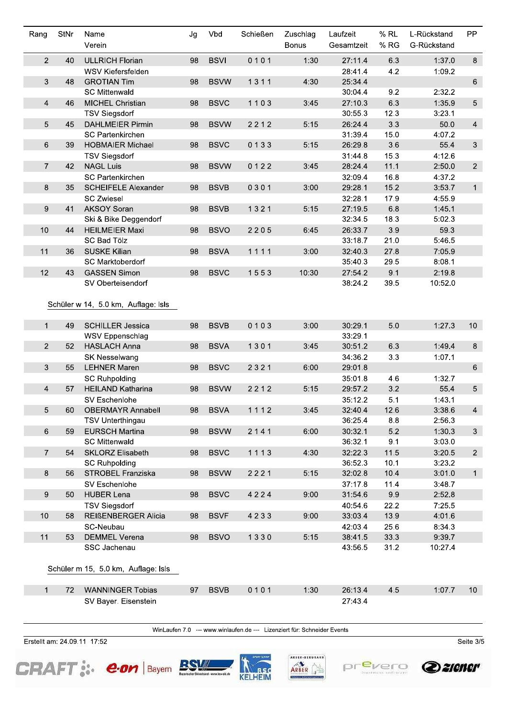| Rang             | StNr | Name                                | Jg | Vbd         | Schießen | Zuschlag     | Laufzeit   | $%$ RL | L-Rückstand | PP              |
|------------------|------|-------------------------------------|----|-------------|----------|--------------|------------|--------|-------------|-----------------|
|                  |      | Verein                              |    |             |          | <b>Bonus</b> | Gesamtzeit | % RG   | G-Rückstand |                 |
| $\overline{2}$   | 40   | <b>ULLRICH Florian</b>              | 98 | <b>BSVI</b> | 0101     | 1:30         | 27:11.4    | 6.3    | 1:37.0      | 8               |
|                  |      | WSV Kiefersfelden                   |    |             |          |              | 28:41.4    | 4.2    | 1:09.2      |                 |
| $\mathfrak{S}$   | 48   | <b>GROTIAN Tim</b>                  | 98 | <b>BSVW</b> | 1311     | 4:30         | 25:34.4    |        |             | 6               |
|                  |      | <b>SC Mittenwald</b>                |    |             |          |              | 30:04.4    | 9.2    | 2:32.2      |                 |
| 4                | 46   | MICHEL Christian                    | 98 | <b>BSVC</b> | 1103     | 3:45         | 27:10.3    | 6.3    | 1:35.9      | $5\phantom{.0}$ |
|                  |      | <b>TSV Siegsdorf</b>                |    |             |          |              | 30:55.3    | 12.3   | 3:23.1      |                 |
| 5                | 45   | <b>DAHLMEIER Pirmin</b>             | 98 | <b>BSVW</b> | 2212     | 5:15         | 26:24.4    | 3.3    | 50.0        | $\overline{4}$  |
|                  |      | <b>SC Partenkirchen</b>             |    |             |          |              | 31:39.4    | 15.0   | 4:07.2      |                 |
| $6\,$            | 39   | <b>HOBMAIER Michael</b>             | 98 | <b>BSVC</b> | 0133     | 5:15         | 26:29.8    | 3.6    | 55.4        | $\mathbf{3}$    |
|                  |      | <b>TSV Siegsdorf</b>                |    |             |          |              | 31:44.8    | 15.3   | 4:12.6      |                 |
| $\overline{7}$   | 42   | <b>NAGL Luis</b>                    | 98 | <b>BSVW</b> | 0122     | 3:45         | 28:24.4    | 11.1   | 2:50.0      | $\overline{2}$  |
|                  |      | <b>SC Partenkirchen</b>             |    |             |          |              | 32:09.4    | 16.8   | 4:37.2      |                 |
| 8                | 35   | <b>SCHEIFELE Alexander</b>          | 98 | <b>BSVB</b> | 0301     | 3:00         | 29:28.1    | 15.2   | 3:53.7      | $\mathbf{1}$    |
|                  |      | <b>SC Zwiesel</b>                   |    |             |          |              | 32:28.1    | 17.9   | 4:55.9      |                 |
| $\boldsymbol{9}$ | 41   | <b>AKSOY Soran</b>                  | 98 | <b>BSVB</b> | 1321     | 5:15         | 27:19.5    | 6.8    | 1:45.1      |                 |
|                  |      | Ski & Bike Deggendorf               |    |             |          |              | 32:34.5    | 18.3   | 5:02.3      |                 |
| 10               | 44   | <b>HEILMEIER Maxi</b>               | 98 | <b>BSVO</b> | 2205     | 6:45         | 26:33.7    | 3.9    | 59.3        |                 |
|                  |      | <b>SC Bad Tölz</b>                  |    |             |          |              | 33:18.7    | 21.0   | 5:46.5      |                 |
| 11               | 36   | <b>SUSKE Kilian</b>                 | 98 | <b>BSVA</b> | 1111     | 3:00         | 32:40.3    | 27.8   | 7:05.9      |                 |
|                  |      | SC Marktoberdorf                    |    |             |          |              | 35:40.3    | 29.5   | 8:08.1      |                 |
| 12               | 43   | <b>GASSEN Simon</b>                 | 98 | <b>BSVC</b> | 1553     | 10:30        | 27:54.2    | 9.1    | 2:19.8      |                 |
|                  |      | SV Oberteisendorf                   |    |             |          |              | 38:24.2    | 39.5   | 10:52.0     |                 |
|                  |      |                                     |    |             |          |              |            |        |             |                 |
|                  |      | Schüler w 14, 5.0 km, Auflage: Isls |    |             |          |              |            |        |             |                 |
|                  |      |                                     |    |             |          |              |            |        |             |                 |
| $\mathbf{1}$     | 49   | <b>SCHILLER Jessica</b>             | 98 | <b>BSVB</b> | 0103     | 3:00         | 30:29.1    | 5.0    | 1:27.3      | 10              |
|                  |      | <b>WSV Eppenschlag</b>              |    |             |          |              | 33:29.1    |        |             |                 |
| $\overline{2}$   | 52   | <b>HASLACH Anna</b>                 | 98 | <b>BSVA</b> | 1301     | 3:45         | 30:51.2    | 6.3    | 1:49.4      | 8               |
|                  |      | SK Nesselwang                       |    |             |          |              | 34:36.2    | 3.3    | 1:07.1      |                 |
| 3                | 55   | <b>LEHNER Maren</b>                 | 98 | <b>BSVC</b> | 2321     | 6:00         | 29:01.8    |        |             | 6               |
|                  |      | <b>SC Ruhpolding</b>                |    |             |          |              | 35:01.8    | 4.6    | 1:32.7      |                 |
| $\overline{4}$   | 57   | <b>HEILAND Katharina</b>            | 98 | <b>BSVW</b> | 2212     | 5:15         | 29:57.2    | 3.2    | 55.4        | $\sqrt{5}$      |
|                  |      | SV Eschenlohe                       |    |             |          |              | 35:12.2    | 5.1    | 1:43.1      |                 |
| 5                | 60   | <b>OBERMAYR Annabell</b>            | 98 | <b>BSVA</b> | 1112     | 3:45         | 32:40.4    | 12.6   | 3:38.6      | $\overline{4}$  |
|                  |      | <b>TSV Unterthingau</b>             |    |             |          |              | 36:25.4    | 8.8    | 2:56.3      |                 |
| $\,6\,$          | 59   | <b>EURSCH Martina</b>               | 98 | <b>BSVW</b> | 2141     | 6:00         | 30:32.1    | 5.2    | 1:30.3      | 3               |
|                  |      | <b>SC Mittenwald</b>                |    |             |          |              | 36:32.1    | 9.1    | 3:03.0      |                 |
| $\overline{7}$   | 54   | <b>SKLORZ Elisabeth</b>             | 98 | <b>BSVC</b> | 1113     | 4:30         | 32:22.3    | 11.5   | 3:20.5      | $\overline{2}$  |
|                  |      | <b>SC Ruhpolding</b>                |    |             |          |              | 36:52.3    | 10.1   | 3:23.2      |                 |
| 8                | 56   | STROBEL Franziska                   | 98 | <b>BSVW</b> | 2221     | 5:15         | 32:02.8    | 10.4   | 3:01.0      | $\mathbf 1$     |
|                  |      | SV Eschenlohe                       |    |             |          |              | 37:17.8    | 11.4   | 3:48.7      |                 |
| $\boldsymbol{9}$ | 50   | <b>HUBER Lena</b>                   | 98 | <b>BSVC</b> | 4224     | 9:00         | 31:54.6    | 9.9    | 2:52.8      |                 |
|                  |      | <b>TSV Siegsdorf</b>                |    |             |          |              | 40:54.6    | 22.2   | 7:25.5      |                 |
| 10               | 58   | REIßENBERGER Alicia                 | 98 | <b>BSVF</b> | 4233     | 9:00         | 33:03.4    | 13.9   | 4:01.6      |                 |
|                  |      | SC-Neubau                           |    |             |          |              | 42:03.4    | 25.6   | 8:34.3      |                 |
| 11               | 53   | <b>DEMMEL Verena</b>                | 98 | <b>BSVO</b> | 1330     | 5:15         | 38:41.5    | 33.3   | 9:39.7      |                 |
|                  |      | SSC Jachenau                        |    |             |          |              | 43:56.5    | 31.2   | 10:27.4     |                 |
|                  |      |                                     |    |             |          |              |            |        |             |                 |
|                  |      | Schüler m 15, 5.0 km, Auflage: Isls |    |             |          |              |            |        |             |                 |
|                  |      |                                     |    |             |          |              |            |        |             |                 |
| $\mathbf{1}$     | 72   | <b>WANNINGER Tobias</b>             | 97 | <b>BSVB</b> | 0101     | 1:30         | 26:13.4    | 4.5    | 1:07.7      | 10              |
|                  |      | SV Bayer. Eisenstein                |    |             |          |              | 27:43.4    |        |             |                 |
|                  |      |                                     |    |             |          |              |            |        |             |                 |

WinLaufen 7.0 --- www.winlaufen.de --- Lizenziert für: Schneider Events

Erstellt am: 24.09.11 17:52











Seite  $3/5$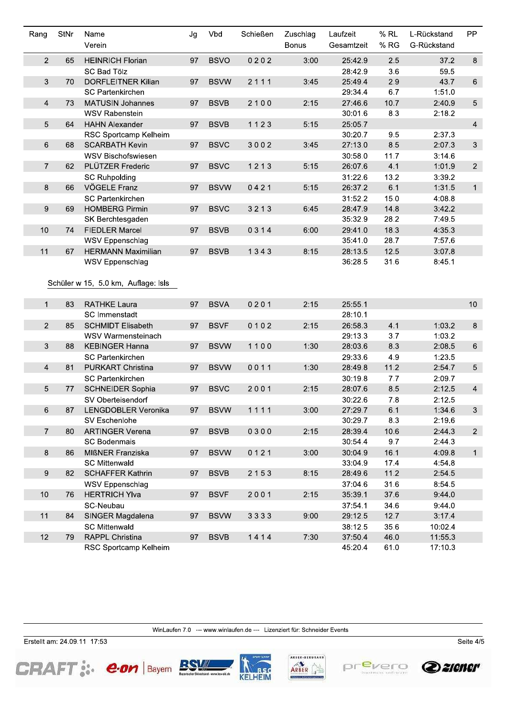| Rang           | <b>StNr</b> | Name                                | Jg | Vbd         | Schießen | Zuschlag     | Laufzeit   | $%$ RL | L-Rückstand | PP             |
|----------------|-------------|-------------------------------------|----|-------------|----------|--------------|------------|--------|-------------|----------------|
|                |             | Verein                              |    |             |          | <b>Bonus</b> | Gesamtzeit | % RG   | G-Rückstand |                |
| $\overline{2}$ | 65          | <b>HEINRICH Florian</b>             | 97 | <b>BSVO</b> | 0202     | 3:00         | 25:42.9    | 2.5    | 37.2        | 8              |
|                |             | <b>SC Bad Tölz</b>                  |    |             |          |              | 28:42.9    | 3.6    | 59.5        |                |
| 3              | 70          | <b>DORFLEITNER Kilian</b>           | 97 | <b>BSVW</b> | 2111     | 3:45         | 25:49.4    | 2.9    | 43.7        | 6              |
|                |             | <b>SC Partenkirchen</b>             |    |             |          |              | 29:34.4    | 6.7    | 1:51.0      |                |
| $\overline{4}$ | 73          | <b>MATUSIN Johannes</b>             | 97 | <b>BSVB</b> | 2100     | 2:15         | 27:46.6    | 10.7   | 2:40.9      | 5              |
|                |             | <b>WSV Rabenstein</b>               |    |             |          |              | 30:01.6    | 8.3    | 2:18.2      |                |
| 5              | 64          | <b>HAHN Alexander</b>               | 97 | <b>BSVB</b> | 1123     | 5:15         | 25:05.7    |        |             | $\overline{4}$ |
|                |             | RSC Sportcamp Kelheim               |    |             |          |              | 30:20.7    | 9.5    | 2:37.3      |                |
| 6              | 68          | <b>SCARBATH Kevin</b>               | 97 | <b>BSVC</b> | 3002     | 3:45         | 27:13.0    | 8.5    | 2:07.3      | 3              |
|                |             | WSV Bischofswiesen                  |    |             |          |              | 30:58.0    | 11.7   | 3:14.6      |                |
| $\overline{7}$ | 62          | PLÜTZER Frederic                    | 97 | <b>BSVC</b> | 1213     | 5:15         | 26:07.6    | 4.1    | 1:01.9      | $\overline{2}$ |
|                |             | <b>SC Ruhpolding</b>                |    |             |          |              | 31:22.6    | 13.2   | 3:39.2      |                |
| 8              | 66          | VÖGELE Franz                        | 97 | <b>BSVW</b> | 0421     | 5:15         | 26:37.2    | 6.1    | 1:31.5      | $\mathbf{1}$   |
|                |             | <b>SC Partenkirchen</b>             |    |             |          |              | 31:52.2    | 15.0   | 4:08.8      |                |
| 9              | 69          | <b>HOMBERG Pirmin</b>               | 97 | <b>BSVC</b> | 3213     | 6:45         | 28:47.9    | 14.8   | 3:42.2      |                |
|                |             | SK Berchtesgaden                    |    |             |          |              | 35:32.9    | 28.2   | 7:49.5      |                |
| 10             | 74          | <b>FIEDLER Marcel</b>               | 97 | <b>BSVB</b> | 0314     | 6:00         | 29:41.0    | 18.3   | 4:35.3      |                |
|                |             | WSV Eppenschlag                     |    |             |          |              | 35:41.0    | 28.7   | 7:57.6      |                |
| 11             | 67          | <b>HERMANN Maximilian</b>           | 97 | <b>BSVB</b> | 1343     | 8:15         | 28:13.5    | 12.5   | 3:07.8      |                |
|                |             | WSV Eppenschlag                     |    |             |          |              | 36:28.5    | 31.6   | 8:45.1      |                |
|                |             |                                     |    |             |          |              |            |        |             |                |
|                |             | Schüler w 15, 5.0 km, Auflage: Isls |    |             |          |              |            |        |             |                |
| $\mathbf{1}$   | 83          | <b>RATHKE Laura</b>                 | 97 | <b>BSVA</b> | 0201     | 2:15         | 25:55.1    |        |             | 10             |
|                |             | <b>SC Immenstadt</b>                |    |             |          |              | 28:10.1    |        |             |                |
| $\overline{c}$ | 85          | <b>SCHMIDT Elisabeth</b>            | 97 | <b>BSVF</b> | 0102     | 2:15         | 26:58.3    | 4.1    | 1:03.2      | 8              |
|                |             | WSV Warmensteinach                  |    |             |          |              | 29:13.3    | 3.7    | 1:03.2      |                |
| 3              | 88          | <b>KEBINGER Hanna</b>               | 97 | <b>BSVW</b> | 1100     | 1:30         | 28:03.6    | 8.3    | 2:08.5      | $\,6\,$        |
|                |             | <b>SC Partenkirchen</b>             |    |             |          |              | 29:33.6    | 4.9    | 1:23.5      |                |
| 4              | 81          | <b>PURKART Christina</b>            | 97 | <b>BSVW</b> | 0011     | 1:30         | 28:49.8    | 11.2   | 2:54.7      | 5              |
|                |             | <b>SC Partenkirchen</b>             |    |             |          |              | 30:19.8    | 7.7    | 2:09.7      |                |
| 5              | 77          | <b>SCHNEIDER Sophia</b>             | 97 | <b>BSVC</b> | 2001     | 2:15         | 28:07.6    | 8.5    | 2:12.5      | $\overline{4}$ |
|                |             | SV Oberteisendorf                   |    |             |          |              | 30:22.6    | 7.8    | 2:12.5      |                |
| 6              | 87          | LENGDOBLER Veronika                 |    | 97 BSVW     | 1111     | 3:00         | 27:29.7    | 6.1    | 1:34.6      | 3 <sup>1</sup> |
|                |             | SV Eschenlohe                       |    |             |          |              | 30:29.7    | 8.3    | 2:19.6      |                |
| $\overline{7}$ | 80          | <b>ARTINGER Verena</b>              | 97 | <b>BSVB</b> | 0300     | 2:15         | 28:39.4    | 10.6   | 2:44.3      | $\overline{2}$ |
|                |             | <b>SC Bodenmais</b>                 |    |             |          |              | 30:54.4    | 9.7    | 2:44.3      |                |
| 8              | 86          | MIßNER Franziska                    | 97 | <b>BSVW</b> | 0121     | 3:00         | 30:04.9    | 16.1   | 4:09.8      | $\mathbf{1}$   |
|                |             | <b>SC Mittenwald</b>                |    |             |          |              | 33:04.9    | 17.4   | 4:54.8      |                |
| 9              | 82          | <b>SCHAFFER Kathrin</b>             | 97 | <b>BSVB</b> | 2153     | 8:15         | 28:49.6    | 11.2   | 2:54.5      |                |
|                |             | WSV Eppenschlag                     |    |             |          |              | 37:04.6    | 31.6   | 8:54.5      |                |
| $10$           | 76          | <b>HERTRICH Ylva</b>                | 97 | <b>BSVF</b> | 2001     | 2:15         | 35:39.1    | 37.6   | 9:44.0      |                |
|                |             | SC-Neubau                           |    |             |          |              | 37:54.1    | 34.6   | 9:44.0      |                |
| 11             | 84          | SINGER Magdalena                    | 97 | <b>BSVW</b> | 3333     | 9:00         | 29:12.5    | 12.7   | 3:17.4      |                |
|                |             | <b>SC Mittenwald</b>                |    |             |          |              | 38:12.5    | 35.6   | 10:02.4     |                |
| 12             | 79          | RAPPL Christina                     | 97 | <b>BSVB</b> | 1414     | 7:30         | 37:50.4    | 46.0   | 11:55.3     |                |
|                |             | RSC Sportcamp Kelheim               |    |             |          |              | 45:20.4    | 61.0   | 17:10.3     |                |

WinLaufen 7.0 --- www.winlaufen.de --- Lizenziert für: Schneider Events

Erstellt am: 24.09.11 17:53

**CRAFT: e.on | Bayern BSM** 









Seite  $4/5$